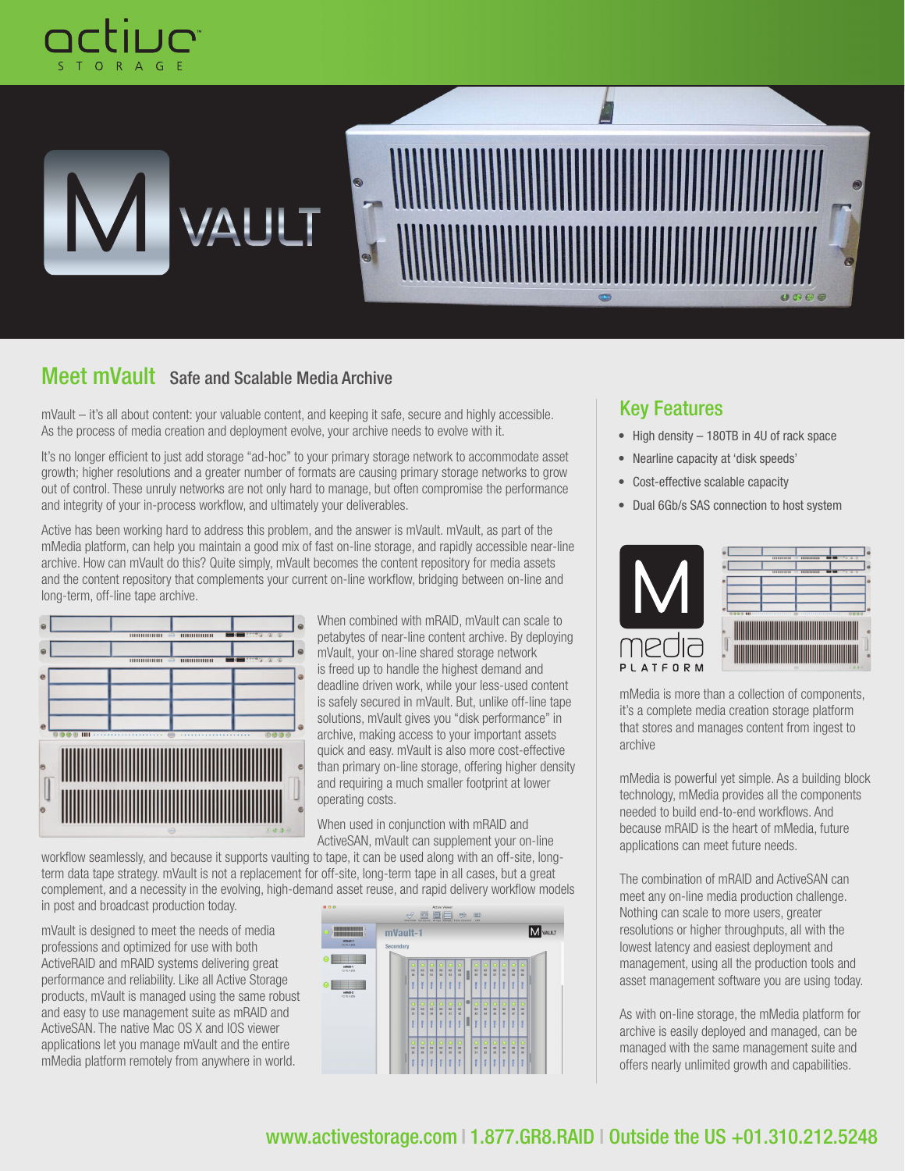



# Meet mVault Safe and Scalable Media Archive

mVault – it's all about content: your valuable content, and keeping it safe, secure and highly accessible. As the process of media creation and deployment evolve, your archive needs to evolve with it.

It's no longer efficient to just add storage "ad-hoc" to your primary storage network to accommodate asset growth; higher resolutions and a greater number of formats are causing primary storage networks to grow out of control. These unruly networks are not only hard to manage, but often compromise the performance and integrity of your in-process workflow, and ultimately your deliverables.

Active has been working hard to address this problem, and the answer is mVault. mVault, as part of the mMedia platform, can help you maintain a good mix of fast on-line storage, and rapidly accessible near-line archive. How can mVault do this? Quite simply, mVault becomes the content repository for media assets and the content repository that complements your current on-line workflow, bridging between on-line and long-term, off-line tape archive.



When combined with mRAID, mVault can scale to petabytes of near-line content archive. By deploying mVault, your on-line shared storage network is freed up to handle the highest demand and deadline driven work, while your less-used content is safely secured in mVault. But, unlike off-line tape solutions, mVault gives you "disk performance" in archive, making access to your important assets quick and easy. mVault is also more cost-effective than primary on-line storage, offering higher density and requiring a much smaller footprint at lower operating costs.

When used in conjunction with mRAID and ActiveSAN, mVault can supplement your on-line

workflow seamlessly, and because it supports vaulting to tape, it can be used along with an off-site, longterm data tape strategy. mVault is not a replacement for off-site, long-term tape in all cases, but a great complement, and a necessity in the evolving, high-demand asset reuse, and rapid delivery workflow models in post and broadcast production today.

mVault is designed to meet the needs of media professions and optimized for use with both ActiveRAID and mRAID systems delivering great performance and reliability. Like all Active Storage products, mVault is managed using the same robust and easy to use management suite as mRAID and ActiveSAN. The native Mac OS X and IOS viewer applications let you manage mVault and the entire mMedia platform remotely from anywhere in world.



# Key Features

- High density 180TB in 4U of rack space
- Nearline capacity at 'disk speeds'
- Cost-effective scalable capacity
- Dual 6Gb/s SAS connection to host system



mMedia is more than a collection of components, it's a complete media creation storage platform that stores and manages content from ingest to archive

mMedia is powerful yet simple. As a building block technology, mMedia provides all the components needed to build end-to-end workflows. And because mRAID is the heart of mMedia, future applications can meet future needs.

The combination of mRAID and ActiveSAN can meet any on-line media production challenge. Nothing can scale to more users, greater resolutions or higher throughputs, all with the lowest latency and easiest deployment and management, using all the production tools and asset management software you are using today.

As with on-line storage, the mMedia platform for archive is easily deployed and managed, can be managed with the same management suite and offers nearly unlimited growth and capabilities.